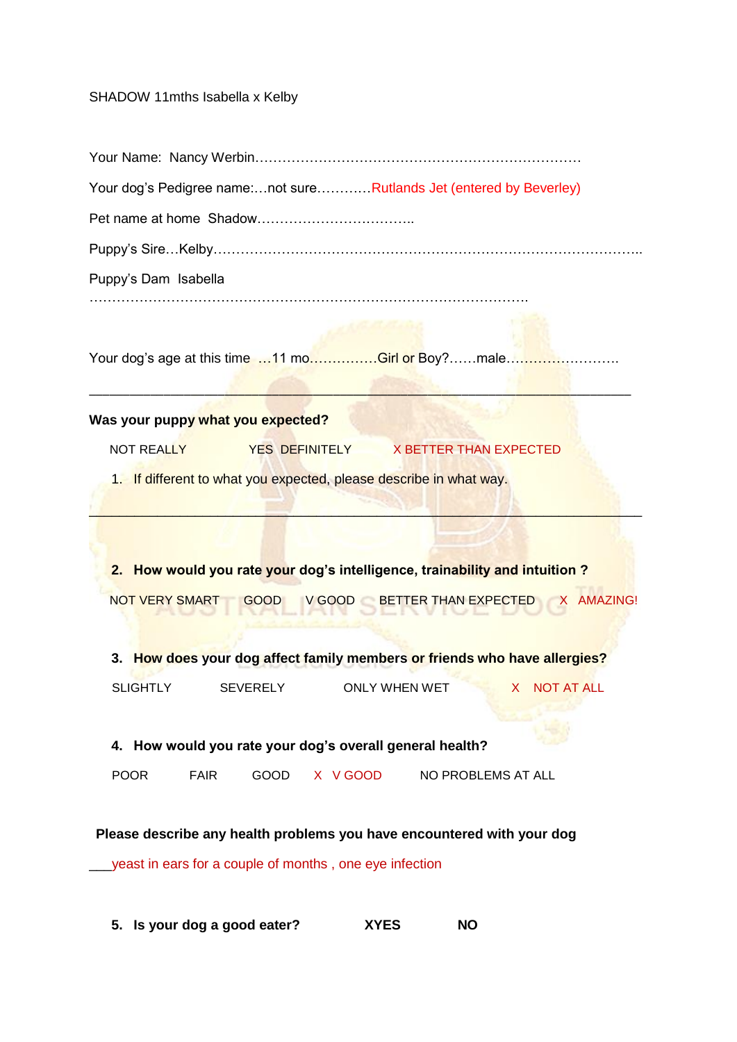## SHADOW 11mths Isabella x Kelby

| Your dog's Pedigree name:not sureRutlands Jet (entered by Beverley)         |
|-----------------------------------------------------------------------------|
|                                                                             |
|                                                                             |
| Puppy's Dam Isabella                                                        |
| Your dog's age at this time 11 moGirl or Boy?male                           |
| Was your puppy what you expected?                                           |
| <b>NOT REALLY</b><br>YES DEFINITELY X BETTER THAN EXPECTED                  |
| 1. If different to what you expected, please describe in what way.          |
| 2. How would you rate your dog's intelligence, trainability and intuition?  |
| NOT VERY SMART GOOD V GOOD BETTER THAN EXPECTED X AMAZING!                  |
| 3. How does your dog affect family members or friends who have allergies?   |
| <b>SLIGHTLY</b><br><b>SEVERELY</b><br><b>ONLY WHEN WET</b><br>X NOT AT ALL  |
| 4. How would you rate your dog's overall general health?                    |
| <b>POOR</b><br><b>GOOD</b><br>X V GOOD<br><b>FAIR</b><br>NO PROBLEMS AT ALL |
| Please describe any health problems you have encountered with your dog      |
| yeast in ears for a couple of months, one eye infection                     |

**5. Is your dog a good eater? XYES NO**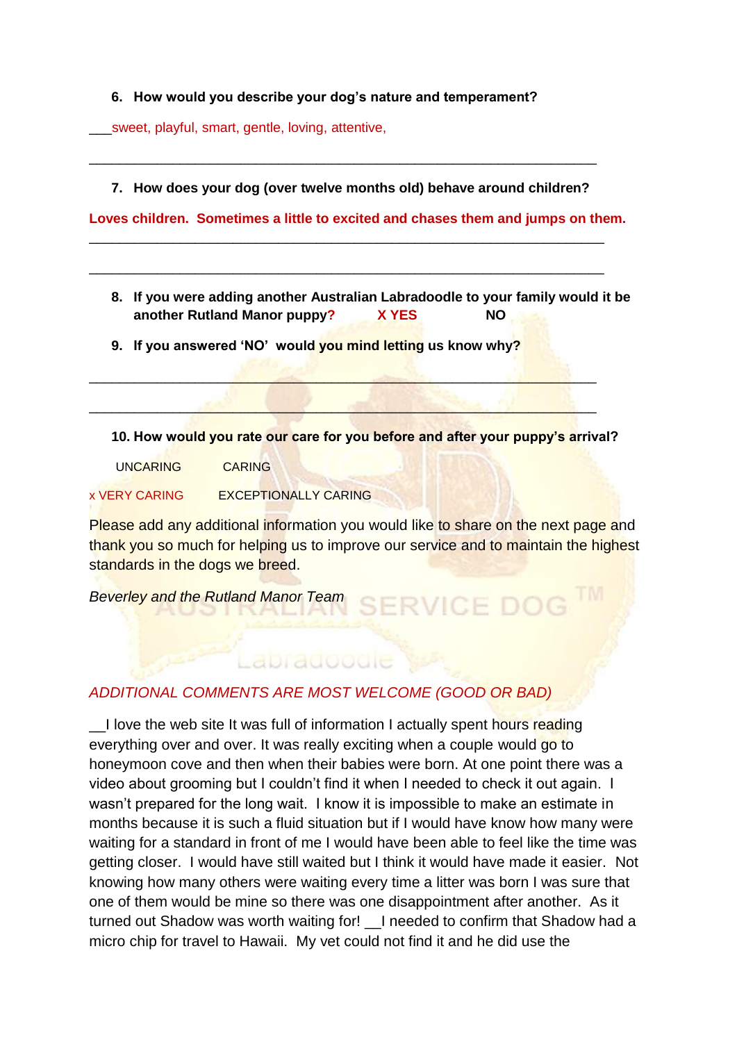## **6. How would you describe your dog's nature and temperament?**

\_\_\_sweet, playful, smart, gentle, loving, attentive,

**7. How does your dog (over twelve months old) behave around children?**

\_\_\_\_\_\_\_\_\_\_\_\_\_\_\_\_\_\_\_\_\_\_\_\_\_\_\_\_\_\_\_\_\_\_\_\_\_\_\_\_\_\_\_\_\_\_\_\_\_\_\_\_\_\_\_\_\_\_\_\_\_\_\_\_\_\_\_\_

\_\_\_\_\_\_\_\_\_\_\_\_\_\_\_\_\_\_\_\_\_\_\_\_\_\_\_\_\_\_\_\_\_\_\_\_\_\_\_\_\_\_\_\_\_\_\_\_\_\_\_\_\_\_\_\_\_\_\_\_\_\_\_\_\_\_\_\_

 $\mathcal{L} = \{ \mathbf{y} \in \mathbb{R}^n : \mathcal{L} = \{ \mathbf{y} \} \cup \{ \mathbf{y} \} \cup \{ \mathbf{y} \} \cup \{ \mathbf{y} \} \cup \{ \mathbf{y} \} \cup \{ \mathbf{y} \} \cup \{ \mathbf{y} \} \cup \{ \mathbf{y} \} \cup \{ \mathbf{y} \} \cup \{ \mathbf{y} \} \cup \{ \mathbf{y} \} \cup \{ \mathbf{y} \} \cup \{ \mathbf{y} \} \cup \{ \mathbf{y} \} \cup \{ \mathbf{y} \} \cup \{ \mathbf{y$ 

 $\mathbb{Z}^2$  ,  $\mathbb{Z}^2$  ,  $\mathbb{Z}^2$  ,  $\mathbb{Z}^2$  ,  $\mathbb{Z}^2$  ,  $\mathbb{Z}^2$  ,  $\mathbb{Z}^2$  ,  $\mathbb{Z}^2$  ,  $\mathbb{Z}^2$  ,  $\mathbb{Z}^2$  ,  $\mathbb{Z}^2$  ,  $\mathbb{Z}^2$ 

\_\_\_\_\_\_\_\_\_\_\_\_\_\_\_\_\_\_\_\_\_\_\_\_\_\_\_\_\_\_\_\_\_\_\_\_\_\_\_\_\_\_\_\_\_\_\_\_\_\_\_\_\_\_\_\_\_\_\_\_\_\_\_\_\_\_\_

**Loves children. Sometimes a little to excited and chases them and jumps on them.** 

**8. If you were adding another Australian Labradoodle to your family would it be another Rutland Manor puppy? X YES NO**

**9. If you answered 'NO' would you mind letting us know why?**

**10. How would you rate our care for you before and after your puppy's arrival?**

UNCARING CARING

x VERY CARING EXCEPTIONALLY CARING

Please add any additional information you would like to share on the next page and thank you so much for helping us to improve our service and to maintain the highest standards in the dogs we breed.

*Beverley and the Rutland Manor Team*

## *ADDITIONAL COMMENTS ARE MOST WELCOME (GOOD OR BAD)*

Labradoodie

I love the web site It was full of information I actually spent hours reading everything over and over. It was really exciting when a couple would go to honeymoon cove and then when their babies were born. At one point there was a video about grooming but I couldn't find it when I needed to check it out again. I wasn't prepared for the long wait. I know it is impossible to make an estimate in months because it is such a fluid situation but if I would have know how many were waiting for a standard in front of me I would have been able to feel like the time was getting closer. I would have still waited but I think it would have made it easier. Not knowing how many others were waiting every time a litter was born I was sure that one of them would be mine so there was one disappointment after another. As it turned out Shadow was worth waiting for! I needed to confirm that Shadow had a micro chip for travel to Hawaii. My vet could not find it and he did use the